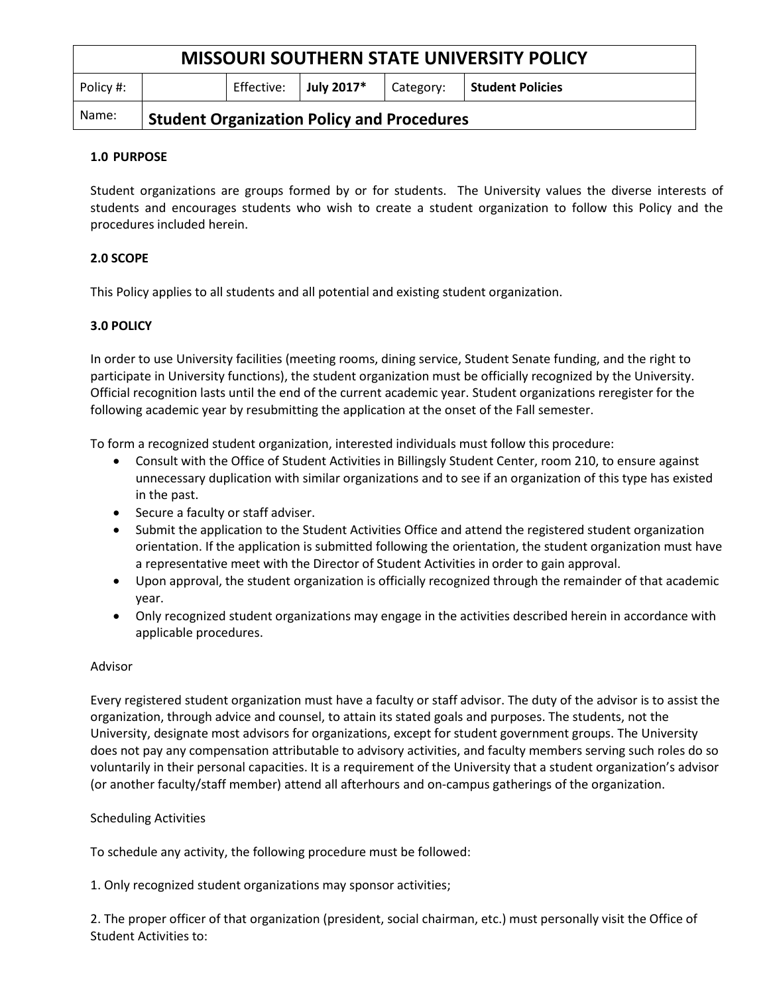| <b>MISSOURI SOUTHERN STATE UNIVERSITY POLICY</b> |                                                   |            |                    |           |                    |
|--------------------------------------------------|---------------------------------------------------|------------|--------------------|-----------|--------------------|
| Policy #:                                        |                                                   | Effective: | $\vert$ July 2017* | Category: | l Student Policies |
| Name:                                            | <b>Student Organization Policy and Procedures</b> |            |                    |           |                    |

## **1.0 PURPOSE**

Student organizations are groups formed by or for students. The University values the diverse interests of students and encourages students who wish to create a student organization to follow this Policy and the procedures included herein.

# **2.0 SCOPE**

This Policy applies to all students and all potential and existing student organization.

## **3.0 POLICY**

In order to use University facilities (meeting rooms, dining service, Student Senate funding, and the right to participate in University functions), the student organization must be officially recognized by the University. Official recognition lasts until the end of the current academic year. Student organizations reregister for the following academic year by resubmitting the application at the onset of the Fall semester.

To form a recognized student organization, interested individuals must follow this procedure:

- Consult with the Office of Student Activities in Billingsly Student Center, room 210, to ensure against unnecessary duplication with similar organizations and to see if an organization of this type has existed in the past.
- Secure a faculty or staff adviser.
- Submit the application to the Student Activities Office and attend the registered student organization orientation. If the application is submitted following the orientation, the student organization must have a representative meet with the Director of Student Activities in order to gain approval.
- Upon approval, the student organization is officially recognized through the remainder of that academic year.
- Only recognized student organizations may engage in the activities described herein in accordance with applicable procedures.

## Advisor

Every registered student organization must have a faculty or staff advisor. The duty of the advisor is to assist the organization, through advice and counsel, to attain its stated goals and purposes. The students, not the University, designate most advisors for organizations, except for student government groups. The University does not pay any compensation attributable to advisory activities, and faculty members serving such roles do so voluntarily in their personal capacities. It is a requirement of the University that a student organization's advisor (or another faculty/staff member) attend all afterhours and on-campus gatherings of the organization.

## Scheduling Activities

To schedule any activity, the following procedure must be followed:

1. Only recognized student organizations may sponsor activities;

2. The proper officer of that organization (president, social chairman, etc.) must personally visit the Office of Student Activities to: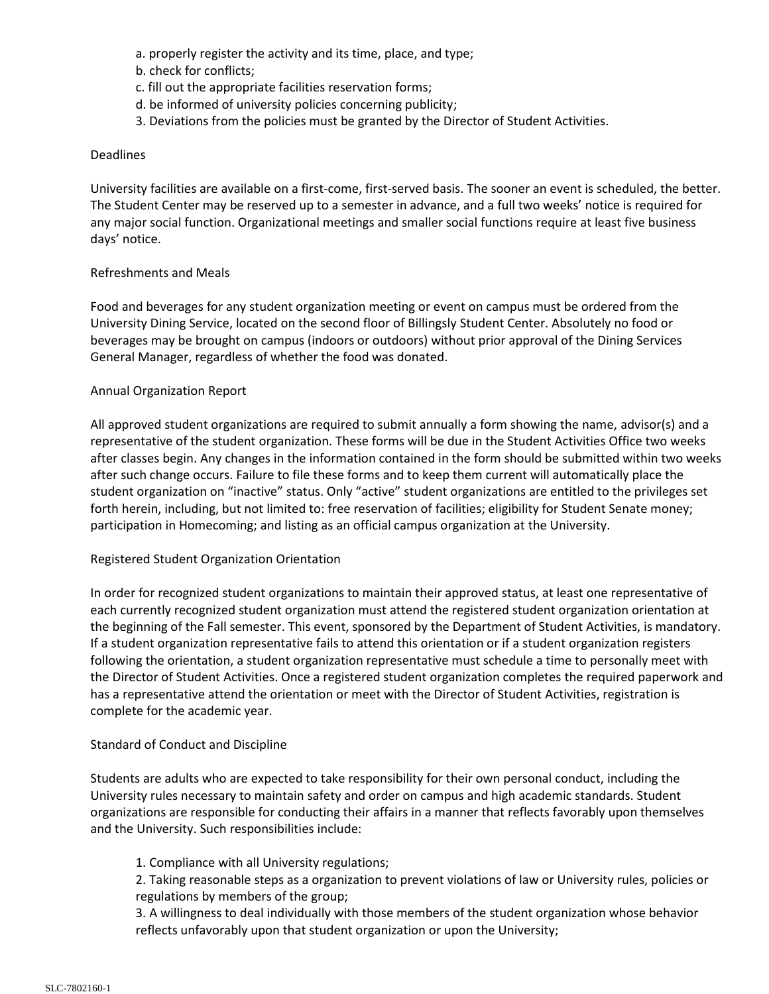- a. properly register the activity and its time, place, and type;
- b. check for conflicts;
- c. fill out the appropriate facilities reservation forms;
- d. be informed of university policies concerning publicity;
- 3. Deviations from the policies must be granted by the Director of Student Activities.

### Deadlines

University facilities are available on a first-come, first-served basis. The sooner an event is scheduled, the better. The Student Center may be reserved up to a semester in advance, and a full two weeks' notice is required for any major social function. Organizational meetings and smaller social functions require at least five business days' notice.

## Refreshments and Meals

Food and beverages for any student organization meeting or event on campus must be ordered from the University Dining Service, located on the second floor of Billingsly Student Center. Absolutely no food or beverages may be brought on campus (indoors or outdoors) without prior approval of the Dining Services General Manager, regardless of whether the food was donated.

## Annual Organization Report

All approved student organizations are required to submit annually a form showing the name, advisor(s) and a representative of the student organization. These forms will be due in the Student Activities Office two weeks after classes begin. Any changes in the information contained in the form should be submitted within two weeks after such change occurs. Failure to file these forms and to keep them current will automatically place the student organization on "inactive" status. Only "active" student organizations are entitled to the privileges set forth herein, including, but not limited to: free reservation of facilities; eligibility for Student Senate money; participation in Homecoming; and listing as an official campus organization at the University.

## Registered Student Organization Orientation

In order for recognized student organizations to maintain their approved status, at least one representative of each currently recognized student organization must attend the registered student organization orientation at the beginning of the Fall semester. This event, sponsored by the Department of Student Activities, is mandatory. If a student organization representative fails to attend this orientation or if a student organization registers following the orientation, a student organization representative must schedule a time to personally meet with the Director of Student Activities. Once a registered student organization completes the required paperwork and has a representative attend the orientation or meet with the Director of Student Activities, registration is complete for the academic year.

#### Standard of Conduct and Discipline

Students are adults who are expected to take responsibility for their own personal conduct, including the University rules necessary to maintain safety and order on campus and high academic standards. Student organizations are responsible for conducting their affairs in a manner that reflects favorably upon themselves and the University. Such responsibilities include:

## 1. Compliance with all University regulations;

2. Taking reasonable steps as a organization to prevent violations of law or University rules, policies or regulations by members of the group;

3. A willingness to deal individually with those members of the student organization whose behavior reflects unfavorably upon that student organization or upon the University;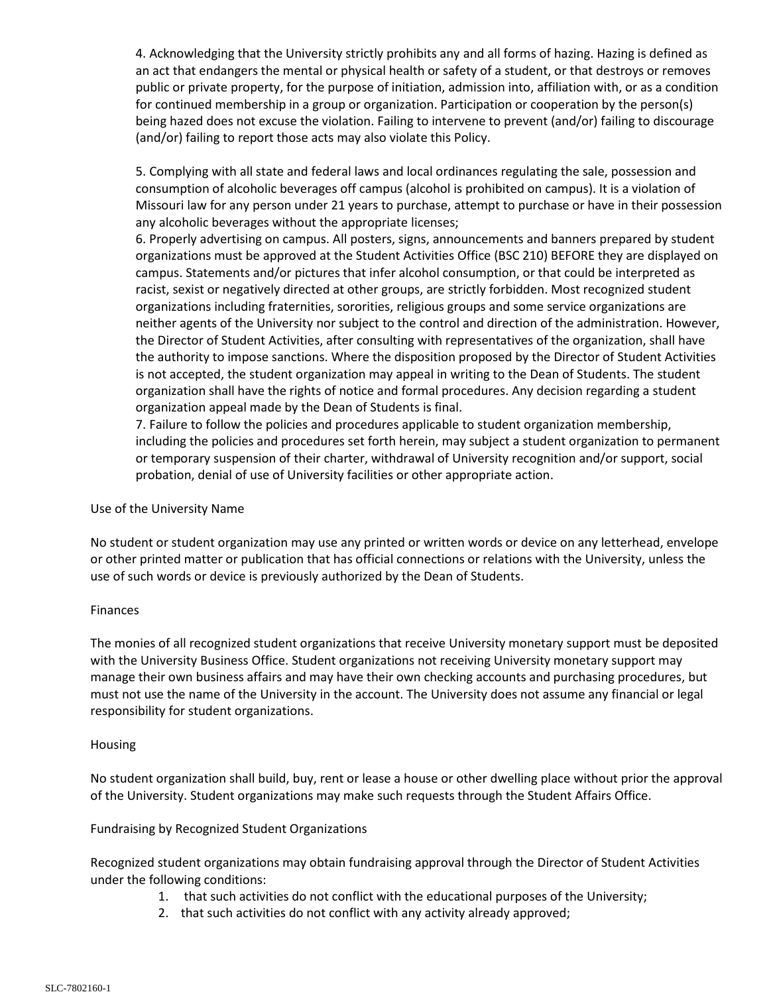4. Acknowledging that the University strictly prohibits any and all forms of hazing. Hazing is defined as an act that endangers the mental or physical health or safety of a student, or that destroys or removes public or private property, for the purpose of initiation, admission into, affiliation with, or as a condition for continued membership in a group or organization. Participation or cooperation by the person(s) being hazed does not excuse the violation. Failing to intervene to prevent (and/or) failing to discourage (and/or) failing to report those acts may also violate this Policy.

5. Complying with all state and federal laws and local ordinances regulating the sale, possession and consumption of alcoholic beverages off campus (alcohol is prohibited on campus). It is a violation of Missouri law for any person under 21 years to purchase, attempt to purchase or have in their possession any alcoholic beverages without the appropriate licenses;

6. Properly advertising on campus. All posters, signs, announcements and banners prepared by student organizations must be approved at the Student Activities Office (BSC 210) BEFORE they are displayed on campus. Statements and/or pictures that infer alcohol consumption, or that could be interpreted as racist, sexist or negatively directed at other groups, are strictly forbidden. Most recognized student organizations including fraternities, sororities, religious groups and some service organizations are neither agents of the University nor subject to the control and direction of the administration. However, the Director of Student Activities, after consulting with representatives of the organization, shall have the authority to impose sanctions. Where the disposition proposed by the Director of Student Activities is not accepted, the student organization may appeal in writing to the Dean of Students. The student organization shall have the rights of notice and formal procedures. Any decision regarding a student organization appeal made by the Dean of Students is final.

7. Failure to follow the policies and procedures applicable to student organization membership, including the policies and procedures set forth herein, may subject a student organization to permanent or temporary suspension of their charter, withdrawal of University recognition and/or support, social probation, denial of use of University facilities or other appropriate action.

## Use of the University Name

No student or student organization may use any printed or written words or device on any letterhead, envelope or other printed matter or publication that has official connections or relations with the University, unless the use of such words or device is previously authorized by the Dean of Students.

## Finances

The monies of all recognized student organizations that receive University monetary support must be deposited with the University Business Office. Student organizations not receiving University monetary support may manage their own business affairs and may have their own checking accounts and purchasing procedures, but must not use the name of the University in the account. The University does not assume any financial or legal responsibility for student organizations.

## Housing

No student organization shall build, buy, rent or lease a house or other dwelling place without prior the approval of the University. Student organizations may make such requests through the Student Affairs Office.

## Fundraising by Recognized Student Organizations

Recognized student organizations may obtain fundraising approval through the Director of Student Activities under the following conditions:

- 1. that such activities do not conflict with the educational purposes of the University;
- 2. that such activities do not conflict with any activity already approved;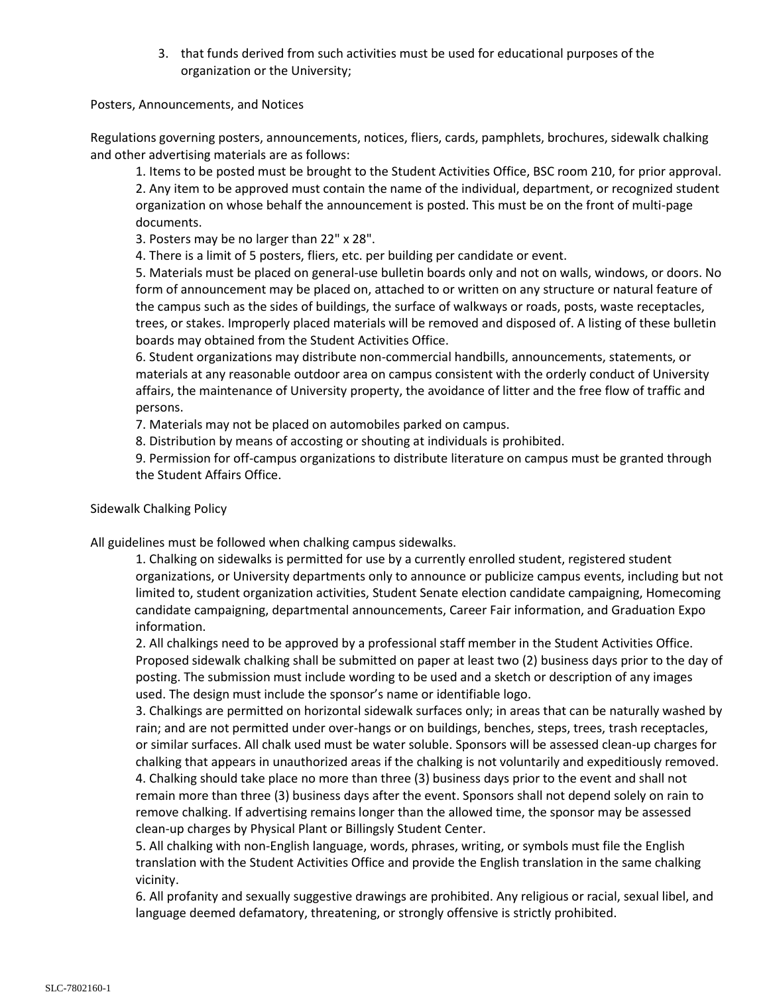3. that funds derived from such activities must be used for educational purposes of the organization or the University;

Posters, Announcements, and Notices

Regulations governing posters, announcements, notices, fliers, cards, pamphlets, brochures, sidewalk chalking and other advertising materials are as follows:

1. Items to be posted must be brought to the Student Activities Office, BSC room 210, for prior approval. 2. Any item to be approved must contain the name of the individual, department, or recognized student organization on whose behalf the announcement is posted. This must be on the front of multi-page documents.

3. Posters may be no larger than 22" x 28".

4. There is a limit of 5 posters, fliers, etc. per building per candidate or event.

5. Materials must be placed on general-use bulletin boards only and not on walls, windows, or doors. No form of announcement may be placed on, attached to or written on any structure or natural feature of the campus such as the sides of buildings, the surface of walkways or roads, posts, waste receptacles, trees, or stakes. Improperly placed materials will be removed and disposed of. A listing of these bulletin boards may obtained from the Student Activities Office.

6. Student organizations may distribute non-commercial handbills, announcements, statements, or materials at any reasonable outdoor area on campus consistent with the orderly conduct of University affairs, the maintenance of University property, the avoidance of litter and the free flow of traffic and persons.

7. Materials may not be placed on automobiles parked on campus.

8. Distribution by means of accosting or shouting at individuals is prohibited.

9. Permission for off-campus organizations to distribute literature on campus must be granted through the Student Affairs Office.

## Sidewalk Chalking Policy

All guidelines must be followed when chalking campus sidewalks.

1. Chalking on sidewalks is permitted for use by a currently enrolled student, registered student organizations, or University departments only to announce or publicize campus events, including but not limited to, student organization activities, Student Senate election candidate campaigning, Homecoming candidate campaigning, departmental announcements, Career Fair information, and Graduation Expo information.

2. All chalkings need to be approved by a professional staff member in the Student Activities Office. Proposed sidewalk chalking shall be submitted on paper at least two (2) business days prior to the day of posting. The submission must include wording to be used and a sketch or description of any images used. The design must include the sponsor's name or identifiable logo.

3. Chalkings are permitted on horizontal sidewalk surfaces only; in areas that can be naturally washed by rain; and are not permitted under over-hangs or on buildings, benches, steps, trees, trash receptacles, or similar surfaces. All chalk used must be water soluble. Sponsors will be assessed clean-up charges for chalking that appears in unauthorized areas if the chalking is not voluntarily and expeditiously removed. 4. Chalking should take place no more than three (3) business days prior to the event and shall not remain more than three (3) business days after the event. Sponsors shall not depend solely on rain to remove chalking. If advertising remains longer than the allowed time, the sponsor may be assessed clean-up charges by Physical Plant or Billingsly Student Center.

5. All chalking with non-English language, words, phrases, writing, or symbols must file the English translation with the Student Activities Office and provide the English translation in the same chalking vicinity.

6. All profanity and sexually suggestive drawings are prohibited. Any religious or racial, sexual libel, and language deemed defamatory, threatening, or strongly offensive is strictly prohibited.